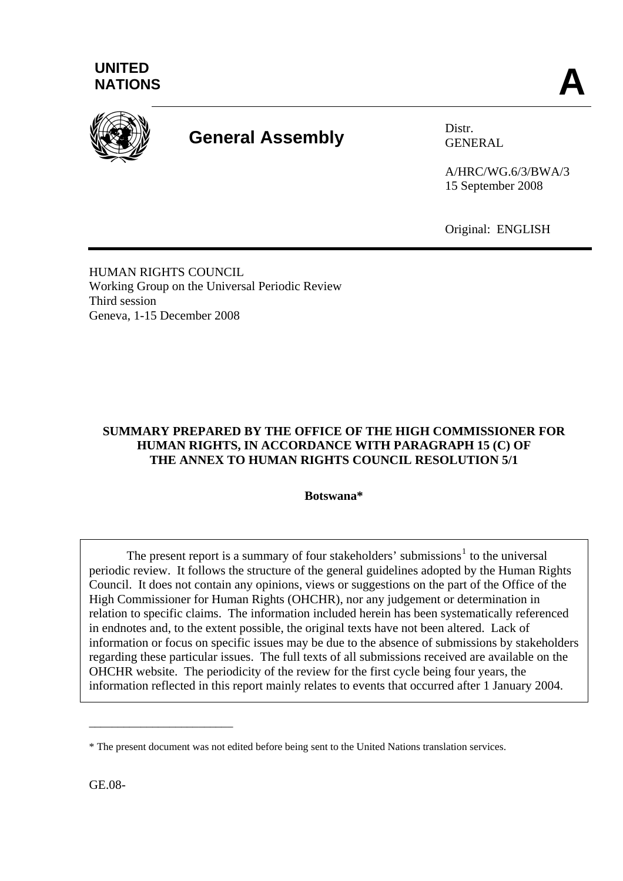



# **General Assembly** Distr.

GENERAL

A/HRC/WG.6/3/BWA/3 15 September 2008

Original: ENGLISH

HUMAN RIGHTS COUNCIL Working Group on the Universal Periodic Review Third session Geneva, 1-15 December 2008

# **SUMMARY PREPARED BY THE OFFICE OF THE HIGH COMMISSIONER FOR HUMAN RIGHTS, IN ACCORDANCE WITH PARAGRAPH 15 (C) OF THE ANNEX TO HUMAN RIGHTS COUNCIL RESOLUTION 5/1**

**Botswana\*** 

The present report is a summary of four stakeholders' submissions<sup>[1](#page-6-0)</sup> to the universal periodic review. It follows the structure of the general guidelines adopted by the Human Rights Council. It does not contain any opinions, views or suggestions on the part of the Office of the High Commissioner for Human Rights (OHCHR), nor any judgement or determination in relation to specific claims. The information included herein has been systematically referenced in endnotes and, to the extent possible, the original texts have not been altered. Lack of information or focus on specific issues may be due to the absence of submissions by stakeholders regarding these particular issues. The full texts of all submissions received are available on the OHCHR website. The periodicity of the review for the first cycle being four years, the information reflected in this report mainly relates to events that occurred after 1 January 2004.

GE.08-

\_\_\_\_\_\_\_\_\_\_\_\_\_\_\_\_\_\_\_\_\_\_\_\_\_

<sup>\*</sup> The present document was not edited before being sent to the United Nations translation services.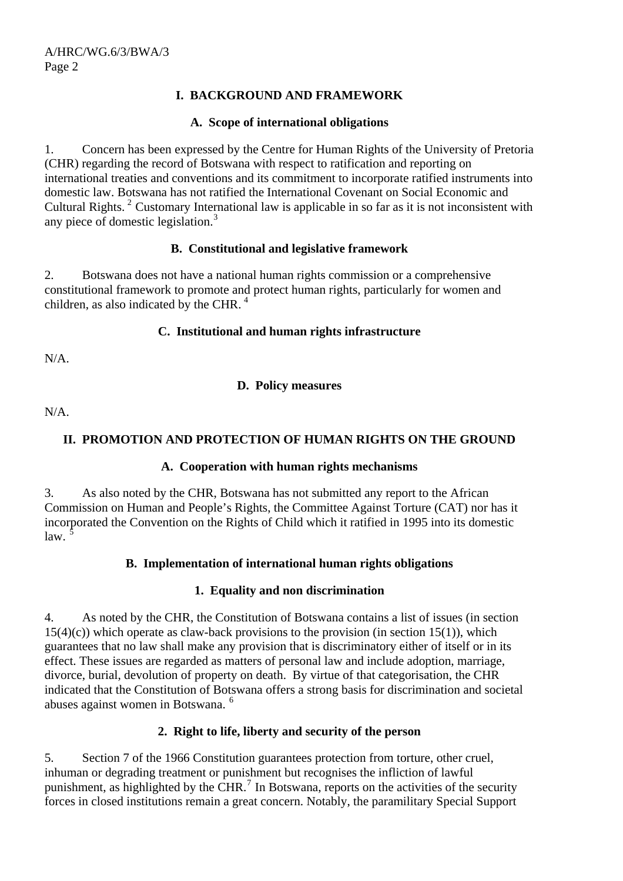# **I. BACKGROUND AND FRAMEWORK**

## **A. Scope of international obligations**

1. Concern has been expressed by the Centre for Human Rights of the University of Pretoria (CHR) regarding the record of Botswana with respect to ratification and reporting on international treaties and conventions and its commitment to incorporate ratified instruments into domestic law. Botswana has not ratified the International Covenant on Social Economic and Cultural Rights.<sup>[2](#page-6-1)</sup> Customary International law is applicable in so far as it is not inconsistent with any piece of domestic legislation.[3](#page-6-1)

## **B. Constitutional and legislative framework**

2. Botswana does not have a national human rights commission or a comprehensive constitutional framework to promote and protect human rights, particularly for women and children, as also indicated by the CHR. [4](#page-6-1)

#### **C. Institutional and human rights infrastructure**

N/A.

## **D. Policy measures**

N/A.

# **II. PROMOTION AND PROTECTION OF HUMAN RIGHTS ON THE GROUND**

## **A. Cooperation with human rights mechanisms**

3. As also noted by the CHR, Botswana has not submitted any report to the African Commission on Human and People's Rights, the Committee Against Torture (CAT) nor has it incorporated the Convention on the Rights of Child which it ratified in 1995 into its domestic  $\int$ law.

## **B. Implementation of international human rights obligations**

## **1. Equality and non discrimination**

4. As noted by the CHR, the Constitution of Botswana contains a list of issues (in section  $15(4)(c)$ ) which operate as claw-back provisions to the provision (in section 15(1)), which guarantees that no law shall make any provision that is discriminatory either of itself or in its effect. These issues are regarded as matters of personal law and include adoption, marriage, divorce, burial, devolution of property on death. By virtue of that categorisation, the CHR indicated that the Constitution of Botswana offers a strong basis for discrimination and societal abuses against women in Botswana.<sup>[6](#page-6-1)</sup>

## **2. Right to life, liberty and security of the person**

5. Section 7 of the 1966 Constitution guarantees protection from torture, other cruel, inhuman or degrading treatment or punishment but recognises the infliction of lawful punishment, as highlighted by the CHR.<sup>[7](#page-6-1)</sup> In Botswana, reports on the activities of the security forces in closed institutions remain a great concern. Notably, the paramilitary Special Support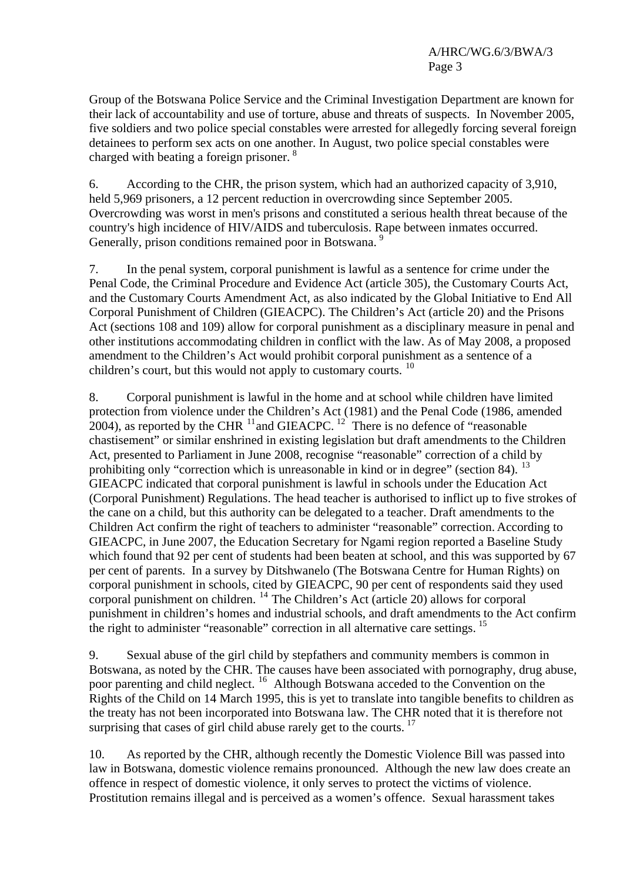Group of the Botswana Police Service and the Criminal Investigation Department are known for their lack of accountability and use of torture, abuse and threats of suspects. In November 2005, five soldiers and two police special constables were arrested for allegedly forcing several foreign detainees to perform sex acts on one another. In August, two police special constables were charged with beating a foreign prisoner.  $8$ 

6. According to the CHR, the prison system, which had an authorized capacity of 3,910, held 5,969 prisoners, a 12 percent reduction in overcrowding since September 2005. Overcrowding was worst in men's prisons and constituted a serious health threat because of the country's high incidence of HIV/AIDS and tuberculosis. Rape between inmates occurred. Generally, prison conditions remained poor in Botswana.<sup>[9](#page-6-1)</sup>

7. In the penal system, corporal punishment is lawful as a sentence for crime under the Penal Code, the Criminal Procedure and Evidence Act (article 305), the Customary Courts Act, and the Customary Courts Amendment Act, as also indicated by the Global Initiative to End All Corporal Punishment of Children (GIEACPC). The Children's Act (article 20) and the Prisons Act (sections 108 and 109) allow for corporal punishment as a disciplinary measure in penal and other institutions accommodating children in conflict with the law. As of May 2008, a proposed amendment to the Children's Act would prohibit corporal punishment as a sentence of a children's court, but this would not apply to customary courts.  $10$ 

8. Corporal punishment is lawful in the home and at school while children have limited protection from violence under the Children's Act (1981) and the Penal Code (1986, amended 2004), as reported by the CHR  $^{11}$  $^{11}$  $^{11}$  and GIEACPC. <sup>[12](#page-6-1)</sup> There is no defence of "reasonable" chastisement" or similar enshrined in existing legislation but draft amendments to the Children Act, presented to Parliament in June 2008, recognise "reasonable" correction of a child by prohibiting only "correction which is unreasonable in kind or in degree" (section 84).  $^{13}$  $^{13}$  $^{13}$ GIEACPC indicated that corporal punishment is lawful in schools under the Education Act (Corporal Punishment) Regulations. The head teacher is authorised to inflict up to five strokes of the cane on a child, but this authority can be delegated to a teacher. Draft amendments to the Children Act confirm the right of teachers to administer "reasonable" correction. According to GIEACPC, in June 2007, the Education Secretary for Ngami region reported a Baseline Study which found that 92 per cent of students had been beaten at school, and this was supported by 67 per cent of parents. In a survey by Ditshwanelo (The Botswana Centre for Human Rights) on corporal punishment in schools, cited by GIEACPC, 90 per cent of respondents said they used corporal punishment on children. [14](#page-6-1) The Children's Act (article 20) allows for corporal punishment in children's homes and industrial schools, and draft amendments to the Act confirm the right to administer "reasonable" correction in all alternative care settings. <sup>[15](#page-6-1)</sup>

9. Sexual abuse of the girl child by stepfathers and community members is common in Botswana, as noted by the CHR. The causes have been associated with pornography, drug abuse, poor parenting and child neglect.<sup>[16](#page-6-1)</sup> Although Botswana acceded to the Convention on the Rights of the Child on 14 March 1995, this is yet to translate into tangible benefits to children as the treaty has not been incorporated into Botswana law. The CHR noted that it is therefore not surprising that cases of girl child abuse rarely get to the courts.  $17$ 

10. As reported by the CHR, although recently the Domestic Violence Bill was passed into law in Botswana, domestic violence remains pronounced. Although the new law does create an offence in respect of domestic violence, it only serves to protect the victims of violence. Prostitution remains illegal and is perceived as a women's offence. Sexual harassment takes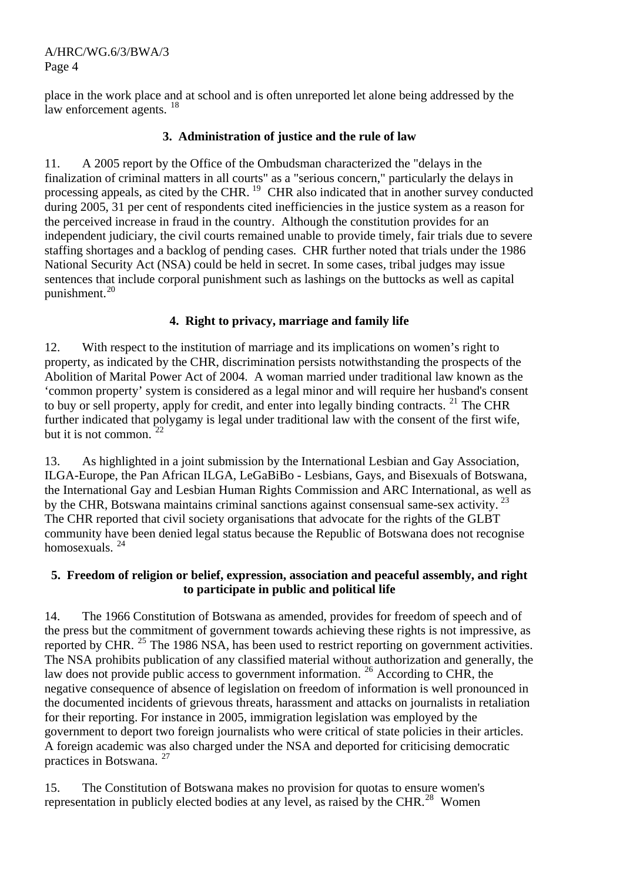A/HRC/WG.6/3/BWA/3 Page 4

place in the work place and at school and is often unreported let alone being addressed by the law enforcement agents. <sup>[18](#page-6-1)</sup>

# **3. Administration of justice and the rule of law**

11. A 2005 report by the Office of the Ombudsman characterized the "delays in the finalization of criminal matters in all courts" as a "serious concern," particularly the delays in processing appeals, as cited by the CHR. <sup>[19](#page-6-1)</sup> CHR also indicated that in another survey conducted during 2005, 31 per cent of respondents cited inefficiencies in the justice system as a reason for the perceived increase in fraud in the country. Although the constitution provides for an independent judiciary, the civil courts remained unable to provide timely, fair trials due to severe staffing shortages and a backlog of pending cases. CHR further noted that trials under the 1986 National Security Act (NSA) could be held in secret. In some cases, tribal judges may issue sentences that include corporal punishment such as lashings on the buttocks as well as capital punishment.[20](#page-6-1)

# **4. Right to privacy, marriage and family life**

12. With respect to the institution of marriage and its implications on women's right to property, as indicated by the CHR, discrimination persists notwithstanding the prospects of the Abolition of Marital Power Act of 2004. A woman married under traditional law known as the 'common property' system is considered as a legal minor and will require her husband's consent to buy or sell property, apply for credit, and enter into legally binding contracts. <sup>[21](#page-6-1)</sup> The CHR further indicated that polygamy is legal under traditional law with the consent of the first wife, but it is not common.  $22$ 

13. As highlighted in a joint submission by the International Lesbian and Gay Association, ILGA-Europe, the Pan African ILGA, LeGaBiBo - Lesbians, Gays, and Bisexuals of Botswana, the International Gay and Lesbian Human Rights Commission and ARC International, as well as by the CHR, Botswana maintains criminal sanctions against consensual same-sex activity.<sup>[23](#page-6-1)</sup> The CHR reported that civil society organisations that advocate for the rights of the GLBT community have been denied legal status because the Republic of Botswana does not recognise homosexuals. [24](#page-6-1)

# **5. Freedom of religion or belief, expression, association and peaceful assembly, and right to participate in public and political life**

14. The 1966 Constitution of Botswana as amended, provides for freedom of speech and of the press but the commitment of government towards achieving these rights is not impressive, as reported by CHR. <sup>[25](#page-6-1)</sup> The 1986 NSA, has been used to restrict reporting on government activities. The NSA prohibits publication of any classified material without authorization and generally, the law does not provide public access to government information. <sup>[26](#page-6-1)</sup> According to CHR, the negative consequence of absence of legislation on freedom of information is well pronounced in the documented incidents of grievous threats, harassment and attacks on journalists in retaliation for their reporting. For instance in 2005, immigration legislation was employed by the government to deport two foreign journalists who were critical of state policies in their articles. A foreign academic was also charged under the NSA and deported for criticising democratic practices in Botswana. [27](#page-6-1)

15. The Constitution of Botswana makes no provision for quotas to ensure women's representation in publicly elected bodies at any level, as raised by the CHR.[28](#page-6-1) Women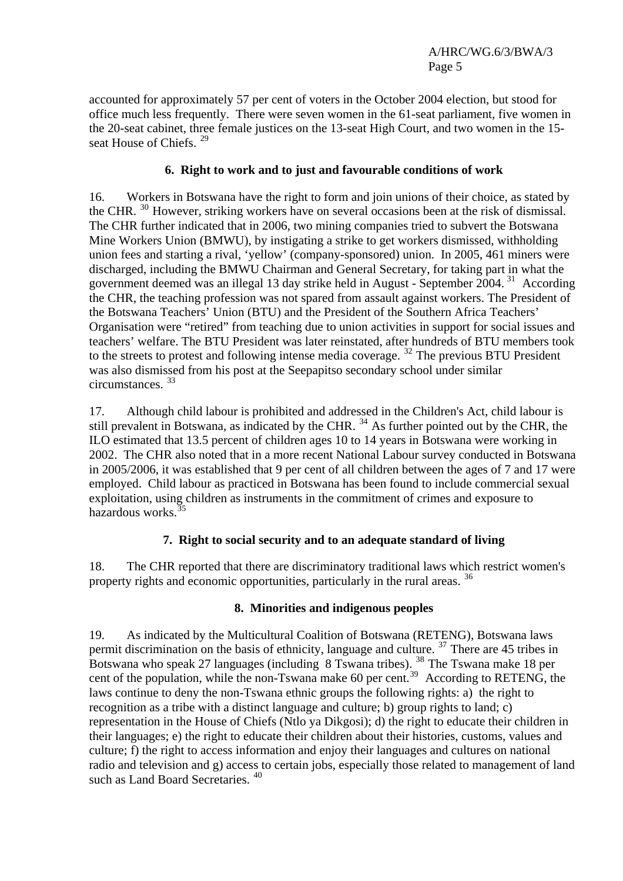accounted for approximately 57 per cent of voters in the October 2004 election, but stood for office much less frequently. There were seven women in the 61-seat parliament, five women in the 20-seat cabinet, three female justices on the 13-seat High Court, and two women in the 15- seat House of Chiefs.<sup>[29](#page-6-1)</sup>

## **6. Right to work and to just and favourable conditions of work**

16. Workers in Botswana have the right to form and join unions of their choice, as stated by the CHR. <sup>[30](#page-6-1)</sup> However, striking workers have on several occasions been at the risk of dismissal. The CHR further indicated that in 2006, two mining companies tried to subvert the Botswana Mine Workers Union (BMWU), by instigating a strike to get workers dismissed, withholding union fees and starting a rival, 'yellow' (company-sponsored) union. In 2005, 461 miners were discharged, including the BMWU Chairman and General Secretary, for taking part in what the government deemed was an illegal 13 day strike held in August - September 2004.<sup>[31](#page-6-1)</sup> According the CHR, the teaching profession was not spared from assault against workers. The President of the Botswana Teachers' Union (BTU) and the President of the Southern Africa Teachers' Organisation were "retired" from teaching due to union activities in support for social issues and teachers' welfare. The BTU President was later reinstated, after hundreds of BTU members took to the streets to protest and following intense media coverage. <sup>[32](#page-6-1)</sup> The previous BTU President was also dismissed from his post at the Seepapitso secondary school under similar circumstances. [33](#page-6-1)

17. Although child labour is prohibited and addressed in the Children's Act, child labour is still prevalent in Botswana, as indicated by the CHR.  $^{34}$  $^{34}$  $^{34}$  As further pointed out by the CHR, the ILO estimated that 13.5 percent of children ages 10 to 14 years in Botswana were working in 2002. The CHR also noted that in a more recent National Labour survey conducted in Botswana in 2005/2006, it was established that 9 per cent of all children between the ages of 7 and 17 were employed. Child labour as practiced in Botswana has been found to include commercial sexual exploitation, using children as instruments in the commitment of crimes and exposure to hazardous works<sup>3</sup>

## **7. Right to social security and to an adequate standard of living**

18. The CHR reported that there are discriminatory traditional laws which restrict women's property rights and economic opportunities, particularly in the rural areas. <sup>[36](#page-6-1)</sup>

## **8. Minorities and indigenous peoples**

19. As indicated by the Multicultural Coalition of Botswana (RETENG), Botswana laws permit discrimination on the basis of ethnicity, language and culture.  $37$  There are 45 tribes in Botswana who speak 27 languages (including 8 Tswana tribes). <sup>[38](#page-6-1)</sup> The Tswana make 18 per cent of the population, while the non-Tswana make 60 per cent.<sup>[39](#page-6-1)</sup> According to RETENG, the laws continue to deny the non-Tswana ethnic groups the following rights: a) the right to recognition as a tribe with a distinct language and culture; b) group rights to land; c) representation in the House of Chiefs (Ntlo ya Dikgosi); d) the right to educate their children in their languages; e) the right to educate their children about their histories, customs, values and culture; f) the right to access information and enjoy their languages and cultures on national radio and television and g) access to certain jobs, especially those related to management of land such as Land Board Secretaries.<sup>[40](#page-6-1)</sup>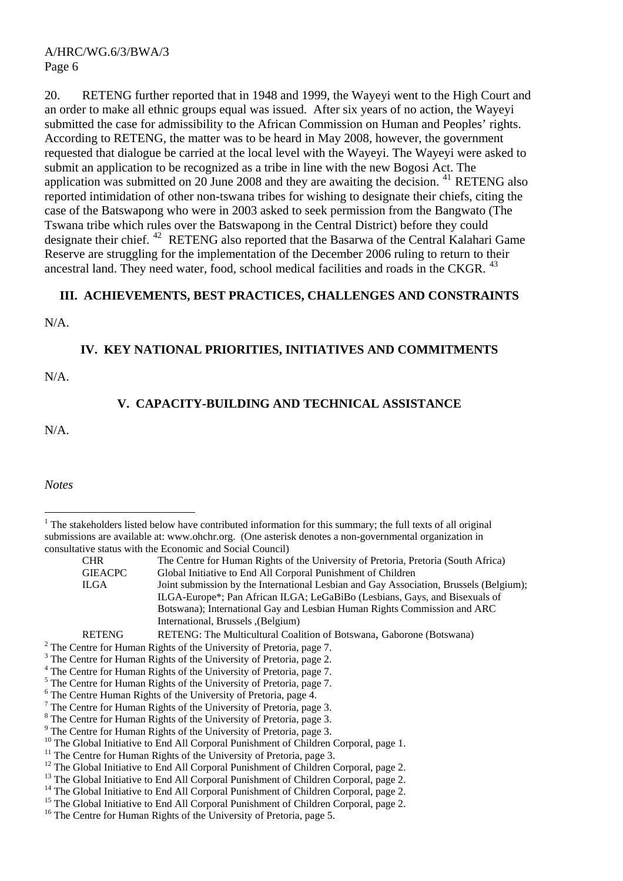20. RETENG further reported that in 1948 and 1999, the Wayeyi went to the High Court and an order to make all ethnic groups equal was issued. After six years of no action, the Wayeyi submitted the case for admissibility to the African Commission on Human and Peoples' rights. According to RETENG, the matter was to be heard in May 2008, however, the government requested that dialogue be carried at the local level with the Wayeyi. The Wayeyi were asked to submit an application to be recognized as a tribe in line with the new Bogosi Act. The application was submitted on 20 June 2008 and they are awaiting the decision. <sup>[41](#page-6-1)</sup> RETENG also reported intimidation of other non-tswana tribes for wishing to designate their chiefs, citing the case of the Batswapong who were in 2003 asked to seek permission from the Bangwato (The Tswana tribe which rules over the Batswapong in the Central District) before they could designate their chief. [42](#page-6-2) RETENG also reported that the Basarwa of the Central Kalahari Game Reserve are struggling for the implementation of the December 2006 ruling to return to their ancestral land. They need water, food, school medical facilities and roads in the CKGR. <sup>[43](#page-6-3)</sup>

#### **III. ACHIEVEMENTS, BEST PRACTICES, CHALLENGES AND CONSTRAINTS**

N/A.

#### **IV. KEY NATIONAL PRIORITIES, INITIATIVES AND COMMITMENTS**

N/A.

# **V. CAPACITY-BUILDING AND TECHNICAL ASSISTANCE**

N/A.

*Notes* 

- $2$  The Centre for Human Rights of the University of Pretoria, page 7.
- <sup>3</sup> The Centre for Human Rights of the University of Pretoria, page 2.
- 4 The Centre for Human Rights of the University of Pretoria, page 7.
- <sup>5</sup> The Centre for Human Rights of the University of Pretoria, page 7.
- 6 The Centre Human Rights of the University of Pretoria, page 4.
- <sup>7</sup> The Centre for Human Rights of the University of Pretoria, page 3.
- <sup>8</sup> The Centre for Human Rights of the University of Pretoria, page 3.
- <sup>9</sup> The Centre for Human Rights of the University of Pretoria, page 3.
- <sup>10</sup> The Global Initiative to End All Corporal Punishment of Children Corporal, page 1.
- <sup>11</sup> The Centre for Human Rights of the University of Pretoria, page 3.
- <sup>12</sup> The Global Initiative to End All Corporal Punishment of Children Corporal, page 2.
- <sup>13</sup> The Global Initiative to End All Corporal Punishment of Children Corporal, page 2.
- <sup>14</sup> The Global Initiative to End All Corporal Punishment of Children Corporal, page 2.

<sup>16</sup> The Centre for Human Rights of the University of Pretoria, page 5.

 $\overline{a}$  $1$ <sup>1</sup> The stakeholders listed below have contributed information for this summary; the full texts of all original submissions are available at: [www.ohchr.org.](http://www.ohchr.org/) (One asterisk denotes a non-governmental organization in consultative status with the Economic and Social Council)

CHR The Centre for Human Rights of the University of Pretoria, Pretoria (South Africa) GIEACPC Global Initiative to End All Corporal Punishment of Children ILGA Joint submission by the International Lesbian and Gay Association, Brussels (Belgium); ILGA-Europe\*; Pan African ILGA; LeGaBiBo (Lesbians, Gays, and Bisexuals of Botswana); International Gay and Lesbian Human Rights Commission and ARC International, Brussels ,(Belgium)

RETENG RETENG: The Multicultural Coalition of Botswana, Gaborone (Botswana)

<sup>&</sup>lt;sup>15</sup> The Global Initiative to End All Corporal Punishment of Children Corporal, page 2.